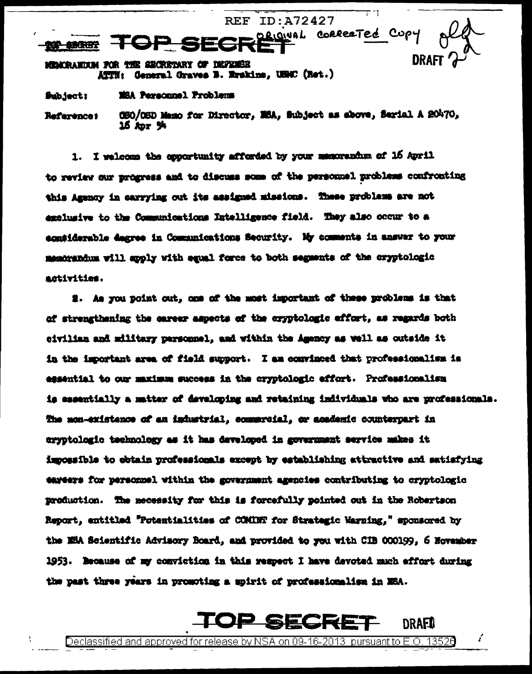**REF ID:A72427** ORIGINAL CORRECTED CUPY 法法诉讼 DRAFT MEMORANDUM FOR THE SECRETARY OF DEFENSE

General Graves B. Erskins, USMC (Ret.) ATTI :

MSA Personnel Problems Subject:

080/08D Maso for Director, MSA, Subject as above, Serial A 20470, References 15 Apr 94

1. I welcome the opportunity afforded by your memorantum of 16 April to review our progress and to discuss some of the personnel problems confronting this Agency in carrying out its assigned missions. These problems are not exclusive to the Communications Intelligence field. They also occur to a egntiderable degree in Communications Security. My comments in answer to your memorandum will apply with equal force to both segments of the cryptologic activities.

2. As you point out, one of the most important of these problems is that of strengthening the career aspects of the cryptologic effort, as regards both civilian and military parsonnel, and within the Amency as well as outside it in the important area of field support. I am convinced that professionalism is essential to our maximum success in the cryptologic effort. Professionalism is essentially a matter of developing and retaining individuals who are professionals. The mon-existence of an infustrial, communial, or academic counterpart in cryptologic technology as it has developed in government service makes it impossible to obtain professionals except by establishing attractive and satisfying eareers for personnel within the government agencies contributing to cryptologic production. The necessity for this is forcefully pointed out in the Robertson Report, entitled "Potentialities of COMINT for Strategic Warning," sponsored by the NHA Scientific Advisory Board, and provided to you with CIB 000199, 6 November 1953. Because of my conviction in this respect I have devoted much effort during the past three years in promoting a spirit of professionalism in MSA.

## <u>P SECR</u>

DRAFIL

ŕ

Declassified and approved for release by NSA on 09-16-2013 pursuant to E.O.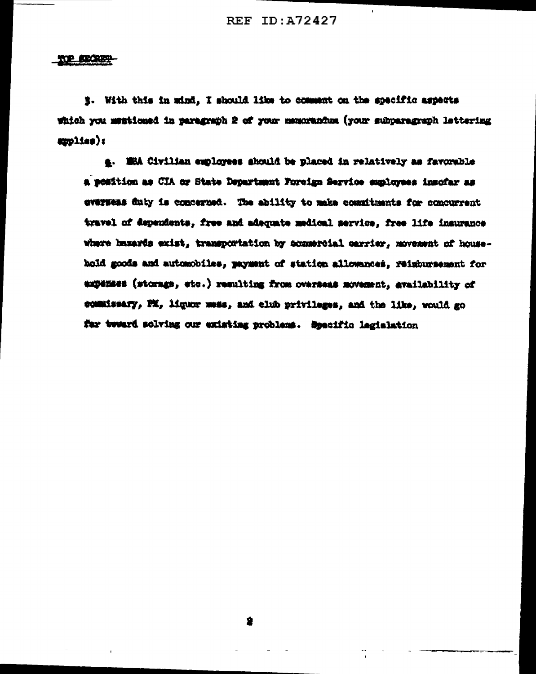#### 102 SECRET

#. With this in mind, I should like to comment on the specific aspects which you membioned in paragraph 2 of your memorantum (your subparagraph lettering  $app11es)$ :

4. MSA Civilian employees should be placed in relatively as favorable a position as CIA or State Department Foreign Service employees insofar as eversess duty is concerned. The ability to make commitments for concurrent travel of dependents, free and adaquate medical service, free life insurance where hazards exist, transportation by commercial carrier, movement of household goods and automobiles, payment of station allowances, reimbursement for expenses (storage, etc.) resulting from overseas movement, availability of commissary, PX, liquor mess, and club privileges, and the like, would go far tweard solving our existing problems. Specific lagislation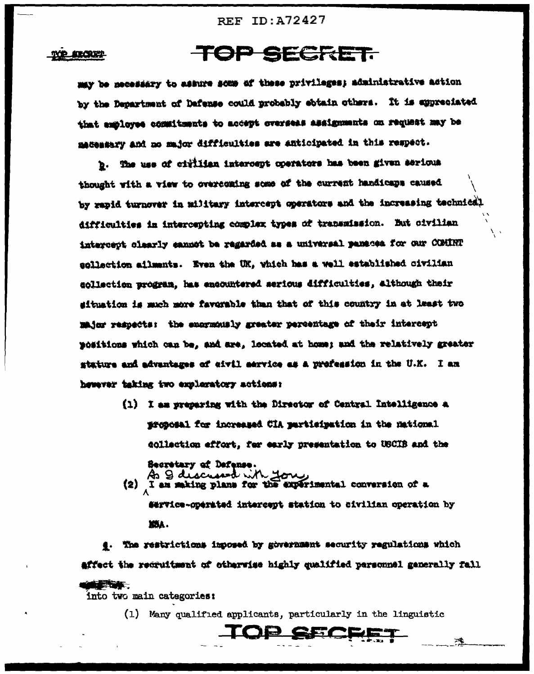#### ATOUT

### **TOP SECRET.**

may be necessary to assure some of these privileges; administrative action by the Department of Dafense could probably ebtain others. It is appreciated that employee commitments to accept overseas assignments on request may be macementy and no major difficulties are anticipated in this respect.

b. The use of cirllian intercept operators has been given serious thought with a view to overcoming some of the current handicaps caused by rapid turnover in military intercept operators and the increasing technical difficulties in intercepting complex types of transmission. But oivilian intercept clearly cannot be regarded as a universal panacea for our COMINT sollaction ailments. Even the UK, which has a well established civilian sollection program, has encountered serious difficulties, although their situation is much more favorable than that of this country in at least two major respects: the enormously greater percentage of their intercept positions which can be, and are, located at home; and the relatively greater stature and advantages of eivil mervice as a prefession in the U.K. I am hewever taking two exploratory actions:

> (1) I am preparing with the Director of Central Intelligence a proposal for increased CIA participation in the mational collection effort, for early presentation to USCIB and the Secretary of Defense.

As 2 discussed with you I am making plans for the experimental conversion of a  $(2)$ dervice-operated intercept station to civilian operation by XXA.

e. The restrictions imposed by government security regulations which affect the recruitment of otherwise highly qualified personnel generally fall etakt.

into two main categories:

(1) Many qualified applicants, particularly in the linguistic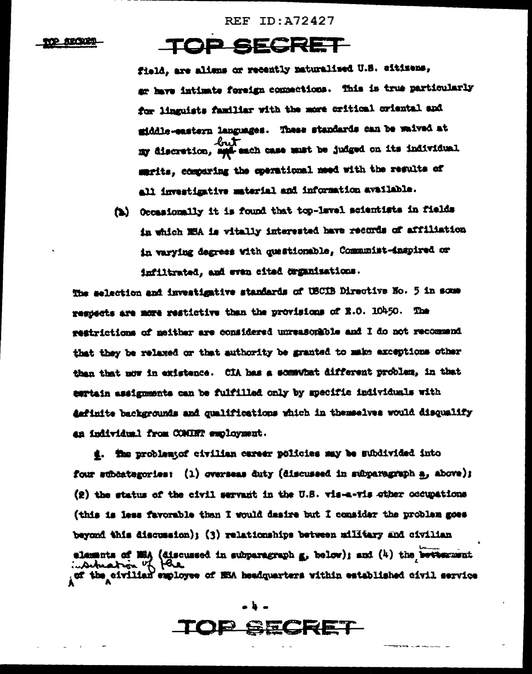**REF ID:A72427** 

#### **ALCOHOL**

# **TOP SECRET**

field, are aliens or recently naturalised U.S. citizens, ar have intimate foreign commections. This is true particularly for linguists familiar with the more critical criental and middle-castern languages. These standards can be waived at my discretion, such each case must be judged on its individual marits, comparing the operational meed with the results of all investigative material and information available.

(b) Occasionally it is found that top-lavel scientists in fields in which MSA is vitally interested have records of affiliation in varying degrees with questionable, Communist-inspired or infiltrated, and even cited drummisations.

The selection and investigative standards of USCIB Directive No. 5 in some respects are more restictive than the provisions of E.O. 10450. The restrictions of meither are considered unreasonable and I do not recommend that they be relaxed or that authority be granted to make exceptions other than that now in existence. CIA has a somewhat different problem, in that certain assignments can be fulfilled only by specific individuals with definite backgrounds and qualifications which in themselves would disqualify an individual from COMINT employment.

g. The problemyof civilian career policies may be subdivided into four subcategories: (1) overseas duty (discussed in subparagraph a, above); (2) the status of the civil servant in the U.S. vis-a-vis other occupations (this is less favorable than I would desire but I consider the problem goes beyond this discussion); (3) relationships between military and civilian 

### **D GECRET**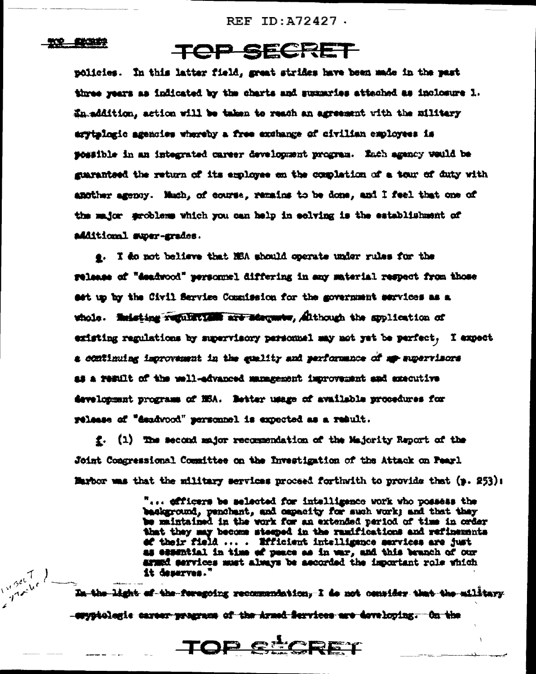REF  $ID: A72427$ .

#### 202 - ENGLIS

*Timbers* 

### TOP SECRET

policies. In this latter field, great strides have been made in the past three years as indicated by the charts and summaries attached as inclosure 1. En addition, action will be taken to reach an agreement with the military erytplogic agencies whereby a free exchange of civilian employees is possible in an integrated career development program. Each agency would be guarantsed the return of its employee on the completion of a tour of duty with amother agency. Much, of course, remains to be done, and I feel that one of the major grobless which you can help in eclving is the establishment of additional super-grades.

e. I do not believe that NBA should operate under rules for the relaame of "deadwood" personnel differing in any material respect from those set up by the Civil Service Commission for the government services as a whole. Seleting regulations are adequate, Although the syplication of existing regulations by supervisory personnel may not yet be perfect. I expect a continuing improvement in the quality and performance of my supervisors as a result of the well-edvanced management improvement and executive development programs of NSA. Detter usage of available procedures for release of "deadwood" personnel is expected as a result.

f. (1) The second major recommendation of the Majority Report of the Joint Congressional Committee on the Investigation of the Attack on Pearl. Marbor was that the military services proceed forthwith to provide that (p. 253):

> "... efficers be selected for intelligence work who possess the baskground, penchant, and capacity for such vork; and that they be maintained in the work for an extended period of time in order that they may become steeped in the ramifications and refinements ef their field ... . Efficient intelligence services are just as essential in time of peace as in war, and this branch of our armed services must always be ascorded the important role which it deserves."

<del>In the light of the foregoing recommendation, I de not consider that the military</del> -emypiologie career programs of the Armed Services are doveloping. On the

TOP STORET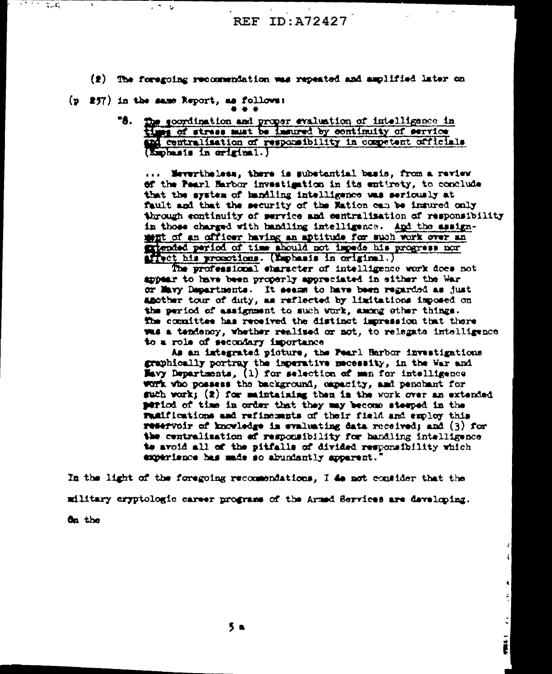- $(2)$  The foregoing recommendation was repeated and amplified later on
- $(p 257)$  in the same Report, as follows:
	- **"8.** The soordination and proper evaluation of intelligence in times of stress must be insured by continuity of service ind centralisation of responsibility in competent officials (Exphasis in original.)

... Mevertheless, there is substantial basis, from a review of the Pearl Harbor investigation in its entirety, to conclude that the system of handling intelligence was seriously at fault and that the security of the Mation can be insured only through continuity of service and centralization of responsibility in those charged with handling intelligence. And the assignwhat of an officer having an aptitude for such work over an fitended period of time should not impede his progress nor affect his promotions. (Emphasis in original.)

The professional character of intelligence work does not appear to have been properly appreciated in either the War or Mavy Departments. It seems to have been regarded as just another tour of duty, as reflected by limitations imposed on the period of assignment to such work, among ether things. **The committee has received the distinct impression that there** was a tendency, whether realised or not, to relegate intelligence to a role of secondary importance

As an integrated picture, the Pearl Harbor investigations graphically portray the imperative mecessity, in the War and Havy Departments, (1) for selection of man for intelligence work who possess the background, capacity, and penchant for such work; (2) for maintaining then is the work over an extended period of time in order that they may become steeped in the rumifications and refinements of their field and employ this reservoir of knowledge in evaluating data received; and (3) for the centralization of responsibility for handling intelligence to avoid all of the pitfalls of divided responsibility which experience has made so abundantly apparent.'

> ł Ç

ŕ,

 $\frac{1}{2}$ 

į

In the light of the foregoing recommendations, I do not consider that the military cryptologic career programs of the Armed Services are developing.

On the

 $\tau$  ,  $\tau$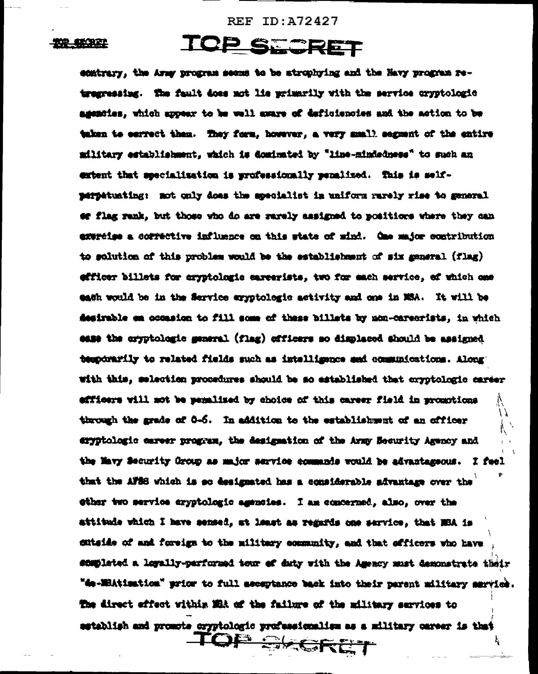**REF ID: A72427** 

#### 书学 特许的

## SECRET

ecatrary, the Army program seems to be atrophying and the Havy program retregressing. The fault does not lie primarily with the service cryptologic agencies, which appear to be well aware of deficiencies and the action to be taken to convect them. They form, however, a very mmall segment of the entire military establishment, which is dominated by "line-mindedness" to such an extent that secolalization is professionally penalized. This is selfperpetuating: not only does the specialist in uniform rarely rise to general of flag rank, but those who do are rarely assigned to positions where they can expreise a corrective influence on this state of mind. One major contribution to solution of this problem would be the establishment of six general (flag) efficer billets for cryptologic careerists, two for each service, of which one each would be in the Service eryptologic activity and one in MSA. It will be Aesirable em occasion to fill some of these billats by non-careorists, in which same the cryptologic general (flag) officers so displaced should be assigned temporarily to related fields such as intelligence and communications. Along' with this, selection procedures should be so established that oryptologic career efficers will not be penalized by choice of this career field in promotions through the grade of 0-6. In addition to the establishment of an officer eryptologic career program, the designation of the Army Security Agency and the Mavy Security Oroup as major service commands would be advantageous. **I** facl that the AFSS which is so designated has a considerable advantage over the other two service exyptologic agencies. I am concerned, also, over the attitude which I have sensed, at least as regards one service, that NSA is sutside of and foreign to the military community, and that officers who have ensplated a legally-performed tour of duty with the Amency must demonstrate their "de-MBAtimation" prior to full acceptance back into their parent military mervice. The direct effect within MRA of the failure of the military services to astablish and promote cryptologic professionalism as a military career is that TOP SKORET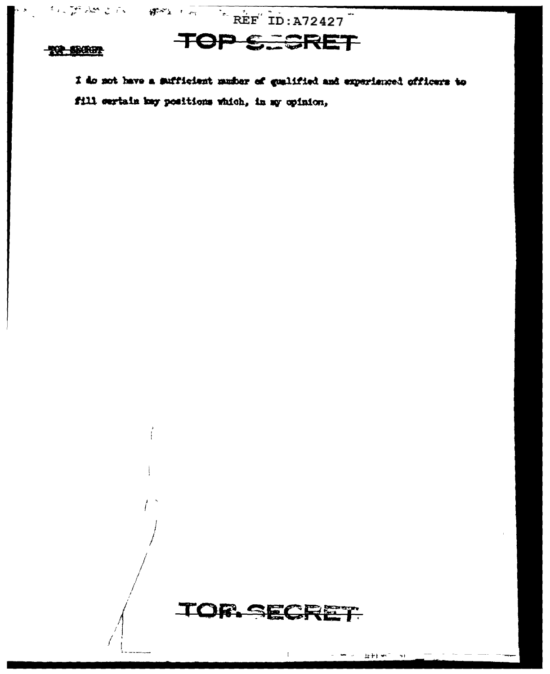$\frac{1}{2}$  and  $\frac{1}{2}$  for  $\frac{1}{2}$   $\frac{1}{2}$   $\frac{1}{2}$   $\frac{1}{2}$   $\frac{1}{2}$   $\frac{1}{2}$   $\frac{1}{2}$   $\frac{1}{2}$   $\frac{1}{2}$   $\frac{1}{2}$   $\frac{1}{2}$   $\frac{1}{2}$   $\frac{1}{2}$   $\frac{1}{2}$   $\frac{1}{2}$   $\frac{1}{2}$   $\frac{1}{2}$   $\frac{1}{2}$   $\frac{1}{2}$   $\frac$ 

# **TOP SECRET**

#### **TOP SECRET**

I do not have a sufficient musher of qualified and experienced officers to fill certain may positions which, in my opinion,



Ī

바람 눈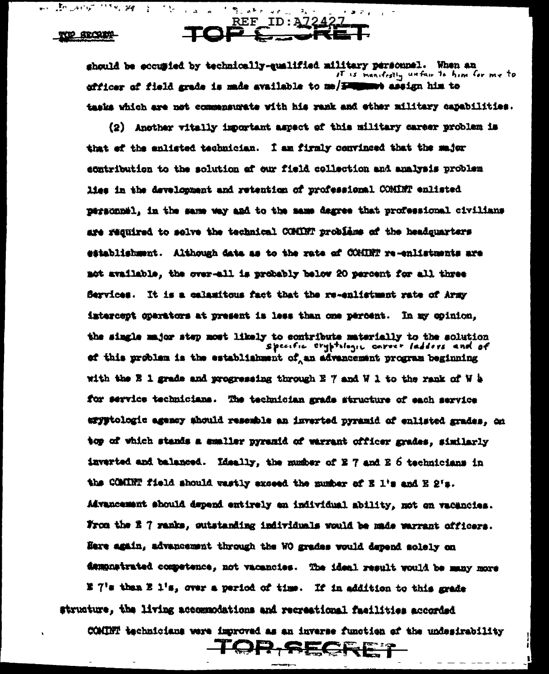**KEP SECRETA** 

ी कि अ∉

 $\mathcal{F}(\mathcal{G})$  .

 $\mathbf{r}$  and  $\mathbf{r}$ 

a shekara

الشمال وملوث والمتلقى المناسو

REF\_ID: A72427 TOP

should be eccupied by technically-qualified military personnel. When an It is manifestly unfair to him for me to officer of field grade is made available to me/ Fillenet assign him to tasks which are not commensurate with his rank and ether military capabilities.

 $-3.7<sub>1</sub>$ 

(2) Another witelly important aspect of this military career problem is that of the enlisted technician. I am firmly convinced that the sajor ecntribution to the solution af our field collection and analysis problem lies in the development and retention of professional COMINT enlisted personnel, in the same way and to the mame degree that professional civilians are required to solve the technical COMINT problems of the headquarters establishment. Although data as to the rate of COMINT re-enlistments are not available, the over-all is probably below 20 percent for all three Services. It is a calamitous fact that the re-enlistment rate of Army intercept operators at present is less than one percent. In my opinion, the single major step nost likely to contribute materially to the solution<br>Specific tryptilegic carver ladders and of of this problem is the establishment of an advancement program beginning with the E 1 grade and progressing through E 7 and W 1 to the rank of W h for service technicians. The technician grade structure of each service eryptologic agency ahould resemble an inverted pyramid of enlisted grades, on top of which stands a smaller pyramid of warrant officer grades, similarly inverted and balanced. Ideally, the number of E 7 and E 6 technicians in the COMINT field should wastly exceed the number of E l's and E 2's. Advancement should depend entirely en individual ability, not on vacancies. From the E 7 ranks, outstanding individuals would be made warrant officers. Here again, advancement through the WO grades would depend solely on dampnatrated competence, not vacancies. The ideal result would be many more E 7's than E 1's, over a period of time. If in addition to this grade structure, the living accommodations and recreational facilities accorded

COMINT technicians were improved as an inverse function of the undesirability

TOP.SECRET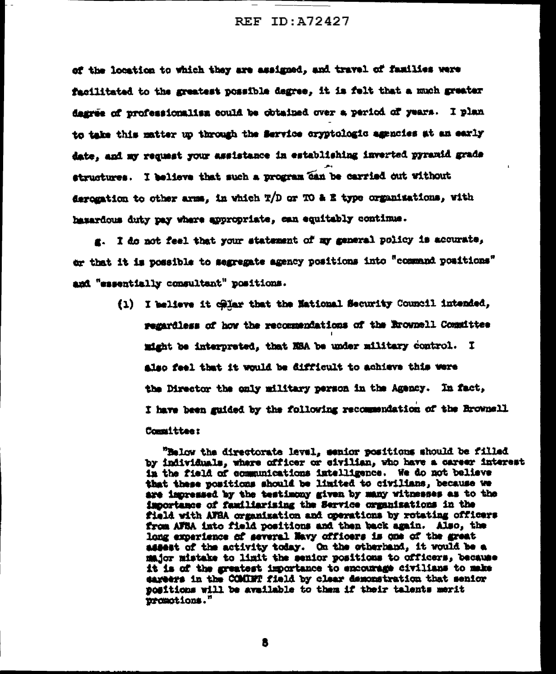of the location to which they are assigned, and travel of families were facilitated to the greatest possible degree, it is felt that a much greater dagree of professionalism could be obtained over a period of years. I plan to take this matter up through the Service cryptologic agencies at an early date, and my request your assistance in establishing inverted pyramid grade structures. I believe that such a program can be carried out without derogation to other arms, in which  $T/D$  or TO & E type organizations, with hasardous duty pay where appropriate, can equitably continue.

g. I do not feel that your statement of my general policy is accurate, or that it is possible to segregate agency positions into "command positions" and "essentially consultant" positions.

> (1) I believe it cellar that the National Security Council intended, regardless of how the recommendations of the Erownell Committee might be interpreted, that NSA be under military control. I also feel that it would be difficult to achieve this were the Director the only military person in the Agency. In fact, I have been guided by the following recommendation of the Brownell Committee:

"Below the directorate level, senior positions should be filled by individuals, where officer or eivilian, who have a career interest in the field of communications intelligence. We do not believe that these positions should be limited to civilians, because we are impressed by the testimony given by many witnesses as to the importance of familiarizing the Service organizations in the field with AFBA organization and operations by rotating officers from AFSA into field positions and then back again. Also, the long experience of several Navy officers is one of the great assent of the activity today. On the otherhand, it would be a major mistake to limit the senior positions to officers, because it is of the greatest importance to encourage civilians to make careers in the COMBHT field by clear demonstration that senior positions will be available to them if their talents merit promotions."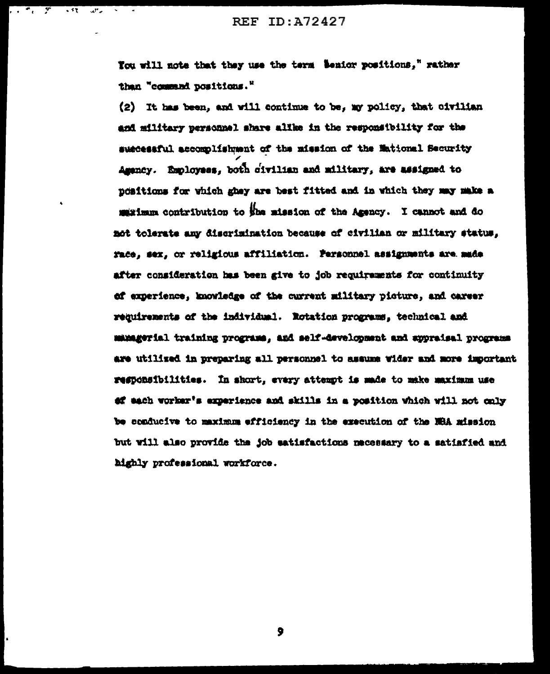**REF ID: A72427** 

 $\overline{1}$ 

 $\mathcal{A}^{\text{F}}$  and

You will note that they use the term benior positions," rather than "command positions."

(2) It has been, and will continue to be, my policy, that civilian and military personnel share alike in the responsibility for the suscessful accomplishment of the mission of the Mational Security Agency. Employees, both civilian and military, are assigned to noaitions for which ghey are best fitted and in which they may make a maximum contribution to the mission of the Agency. I cannot and do not tolerate any discrimination because of civilian or military status, race, sex, or religious affiliation. Personnel assignments are made after consideration has been give to job requirements for continuity of experience, knowledge of the current military picture, and career requirements of the individual. Rotation programs, technical and managerial training programs, and self-development and appraisal programs are utilized in preparing all personnel to assume wider and more important responsibilities. In short, every attempt is made to make maximum use of each worker's experience and skills in a position which will not only be conducive to maximum efficiency in the execution of the NBA mission but will also provide the job eatisfactions necessary to a satisfied and highly professional workforce.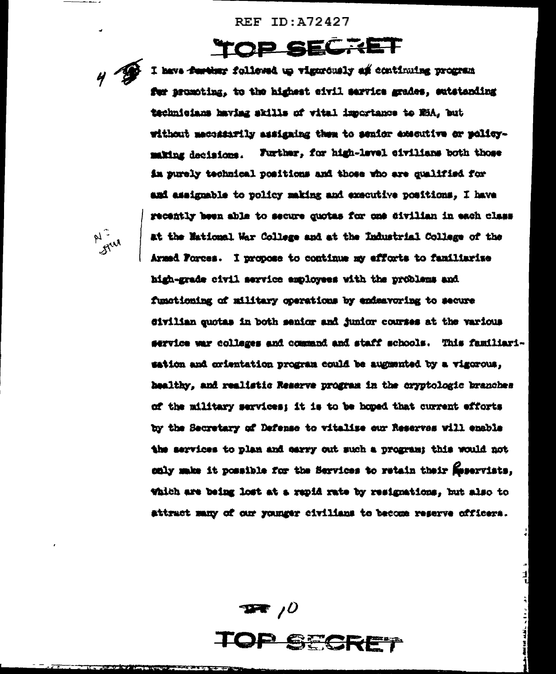**REF ID: A72427** 

# **TOP SECRET**

 $4\sqrt{2}$ 

I have further followed up vigorously an continuing program for promoting, to the highest civil service grades, entstanding technicians having skills of vital importance to MSA. but without mechanily assigning them to senior executive or molicymaking decisions. Further, for high-level civilians both those im purely technical positions and those who are qualified for and assignable to policy making and executive positions. I have recently been able to secure quotas for one divilian in each class at the Mational War College and at the Industrial College of the Armed Porces. I propose to continue my efforts to familiarize high-grade civil service employees with the problems and functioning of military operations by endeavoring to secure civilian quotas in both senior and junior courses at the various service war colleges and command and staff schools. This familiarisation and crientation program could be augmented by a vigorous. healthy, and realistic Reserve program in the cryptologic branches of the military services: it is to be hoped that current efforts by the Secretary of Defense to vitalize our Reserves will enable the services to plan and carry out such a program; this would not only make it possible for the Services to retain their Meservists. Which are being lost at a rapid rate by resignations, but also to attract many of our younger civilians to become reserve officers.







 $\frac{1}{1}$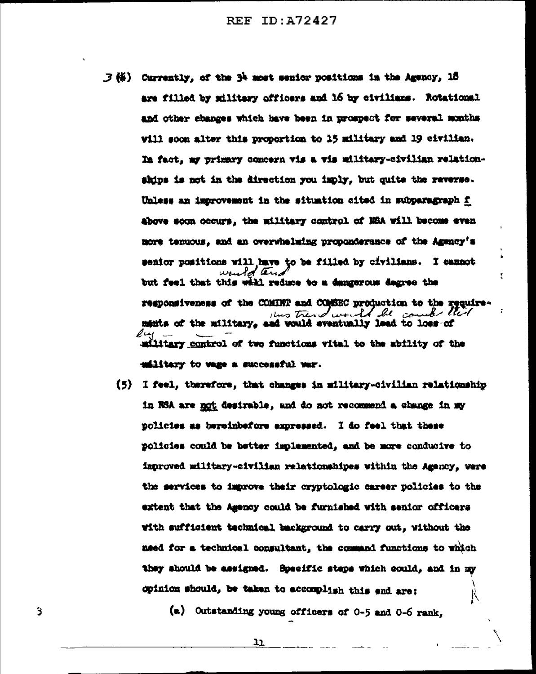$\mathcal{F}$  (4) Currently, of the 34 most senior positions in the Agency, 18 are filled by military officers and 16 by civilians. Rotational and other changes which have been in prospect for several months will soom alter this proportion to 15 military and 19 civilian. In fact, my primary comcern vis a vis military-civilian relationships is not in the direction you imply, but quite the reverse. Unless an improvement in the situation cited in subparagraph f above soon occurs. the military control of MSA will become even more tenuous, and an overwhelming proponderance of the Agency's senior positions will have to be filled by civilians. I cannot but feel that this will reduce to a dangerous degree the responsiveness of the COMINT and COMBEC production to the requirethis trend would be counter that mants of the military, and would eventually lead to loss of  $\mathscr{Q}_{\mathsf{L}\bullet\mathsf{A}}$ military control of two functions vital to the ability of the military to wage a successful war.

¢

(5) I feel, therefore, that changes in military-civilian relationship in RSA are not desirable, and do not recommend a change in my policies as hereinbefore expressed. I do feel that these policies could be better implemented, and be more conducive to improved military-civilian relationshipes within the Agency, were the services to improve their cryptologic career policies to the extent that the Agency could be furnished with senior officers with sufficient technical background to carry out, without the need for a technical consultant, the command functions to which they should be assigned. Specific steps which could, and in my opinion should, be taken to accomplish this end are:

(a) Outstanding young officers of 0-5 and 0-6 rank,

נב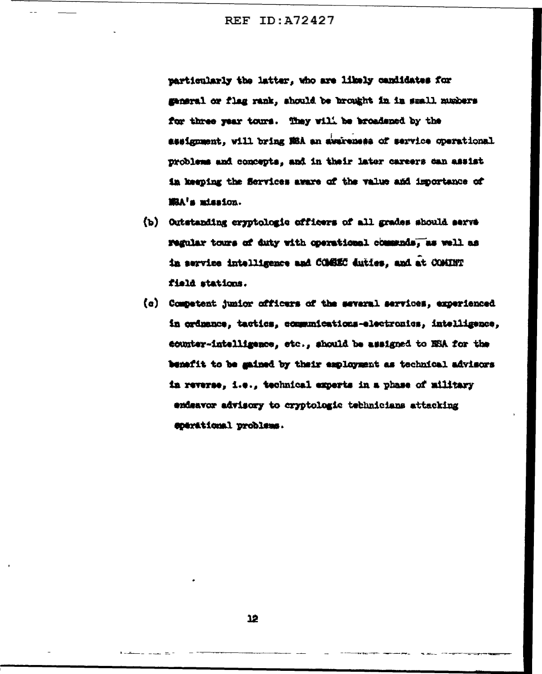**REF ID: A72427** 

particularly the latter, who are likely candidates for general or flag rank, should be brought in in small numbers for three year tours. They will be broadened by the essignment, will bring NBA an awareness of service operational problems and concepts, and in their later careers can assist in keeping the Services aware of the value and importance of MRA's mission.

- (b) Outstanding cryptologic officers of all grades should serve regular tours of duty with operational communds, as well as in service intelligence and COMESC duties, and at COMINT field stations.
- (c) Competent junior officers of the several services, experienced in ordnance, tactics, communications-electronics, intelligence. counter-intelligence, etc., should be assigned to NSA for the benefit to be mained by their employment as technical advisors in reverse, i.e., technical experts in a phase of military endsavor advisory to cryptologic technicians attacking coerational problems.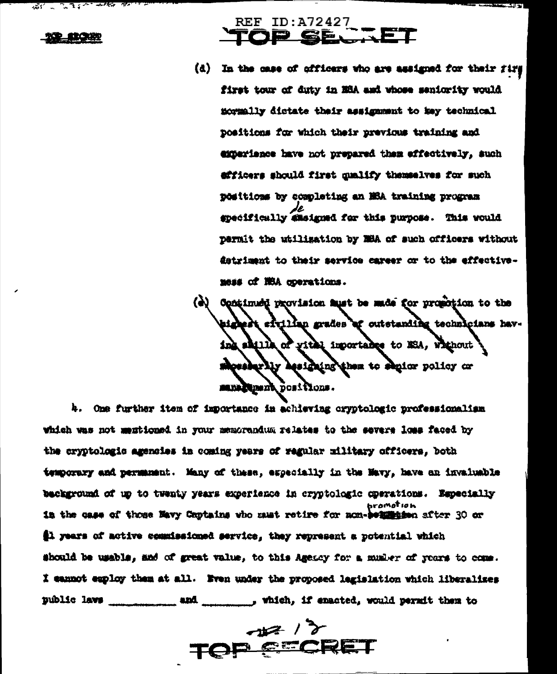$REF ID: A72427$ 

(d) In the case of officers who are assigned for their firs first tour of duty in ESA and whose seniority would normally dictate their assignment to key technical positions for which their previous training and emeriance have not prepared them effectively, such efficers should first qualify themselves for such positions by completing an MSA training program specifically amsigned for this purpose. This would permit the utilization by MBA of such officers without detriment to their service career or to the effectivemess of NSA operations.

(4) Continued provision must be made for propotion to the t efullan grades af outstanding technicians having shills of yitel importance to ESA, whihout morre with the designation of the video or santlend post from.

4. One further item of importance in achieving cryptologic professionalism which was not mentioned in your memorandum relates to the severe loss faced by the cryptologic agencies in coming years of regular military officers, both temporary and permanent. Many of these, especially in the Mavy, have an invaluable background of up to twenty years experience in cryptologic operations. Especially hramat ia h in the case of those Mavy Coptains who must retire for non-bennings after 30 or \$1 years of active commissioned service, they represent a potential which should be usable, and of great value, to this Agency for a musicr of years to come. I cannot exploy them at all. Fren under the proposed legislation which liberalizes public laws and \_\_\_\_\_\_\_\_\_\_\_\_\_\_\_, which, if enacted, would permit them to